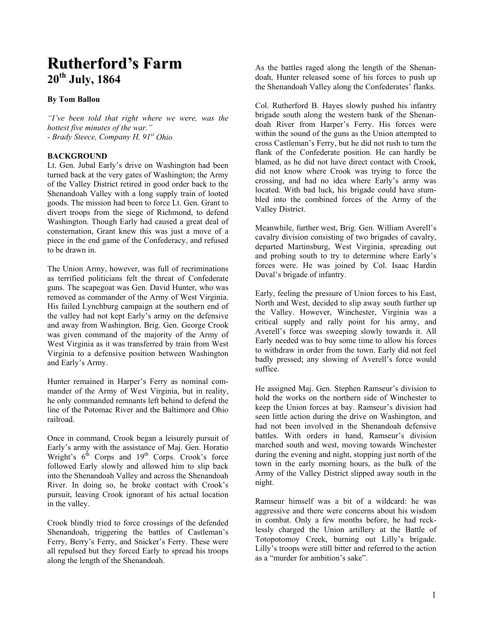# **Rutherford's Farm 20th July, 1864**

## **By Tom Ballou**

*"I've been told that right where we were, was the hottest five minutes of the war." - Brady Steece, Company H, 91st Ohio* 

## **BACKGROUND**

Lt. Gen. Jubal Early's drive on Washington had been turned back at the very gates of Washington; the Army of the Valley District retired in good order back to the Shenandoah Valley with a long supply train of looted goods. The mission had been to force Lt. Gen. Grant to divert troops from the siege of Richmond, to defend Washington. Though Early had caused a great deal of consternation, Grant knew this was just a move of a piece in the end game of the Confederacy, and refused to be drawn in.

The Union Army, however, was full of recriminations as terrified politicians felt the threat of Confederate guns. The scapegoat was Gen. David Hunter, who was removed as commander of the Army of West Virginia. His failed Lynchburg campaign at the southern end of the valley had not kept Early's army on the defensive and away from Washington. Brig. Gen. George Crook was given command of the majority of the Army of West Virginia as it was transferred by train from West Virginia to a defensive position between Washington and Early's Army.

Hunter remained in Harper's Ferry as nominal commander of the Army of West Virginia, but in reality, he only commanded remnants left behind to defend the line of the Potomac River and the Baltimore and Ohio railroad.

Once in command, Crook began a leisurely pursuit of Early's army with the assistance of Maj. Gen. Horatio Wright's  $6<sup>th</sup>$  Corps and  $19<sup>th</sup>$  Corps. Crook's force followed Early slowly and allowed him to slip back into the Shenandoah Valley and across the Shenandoah River. In doing so, he broke contact with Crook's pursuit, leaving Crook ignorant of his actual location in the valley.

Crook blindly tried to force crossings of the defended Shenandoah, triggering the battles of Castleman's Ferry, Berry's Ferry, and Snicker's Ferry. These were all repulsed but they forced Early to spread his troops along the length of the Shenandoah.

As the battles raged along the length of the Shenandoah, Hunter released some of his forces to push up the Shenandoah Valley along the Confederates' flanks.

Col. Rutherford B. Hayes slowly pushed his infantry brigade south along the western bank of the Shenandoah River from Harper's Ferry. His forces were within the sound of the guns as the Union attempted to cross Castleman's Ferry, but he did not rush to turn the flank of the Confederate position. He can hardly be blamed, as he did not have direct contact with Crook, did not know where Crook was trying to force the crossing, and had no idea where Early's army was located. With bad luck, his brigade could have stumbled into the combined forces of the Army of the Valley District.

Meanwhile, further west, Brig. Gen. William Averell's cavalry division consisting of two brigades of cavalry, departed Martinsburg, West Virginia, spreading out and probing south to try to determine where Early's forces were. He was joined by Col. Isaac Hardin Duval's brigade of infantry.

Early, feeling the pressure of Union forces to his East, North and West, decided to slip away south further up the Valley. However, Winchester, Virginia was a critical supply and rally point for his army, and Averell's force was sweeping slowly towards it. All Early needed was to buy some time to allow his forces to withdraw in order from the town. Early did not feel badly pressed; any slowing of Averell's force would suffice.

He assigned Maj. Gen. Stephen Ramseur's division to hold the works on the northern side of Winchester to keep the Union forces at bay. Ramseur's division had seen little action during the drive on Washington, and had not been involved in the Shenandoah defensive battles. With orders in hand, Ramseur's division marched south and west, moving towards Winchester during the evening and night, stopping just north of the town in the early morning hours, as the bulk of the Army of the Valley District slipped away south in the night.

Ramseur himself was a bit of a wildcard: he was aggressive and there were concerns about his wisdom in combat. Only a few months before, he had recklessly charged the Union artillery at the Battle of Totopotomoy Creek, burning out Lilly's brigade. Lilly's troops were still bitter and referred to the action as a "murder for ambition's sake".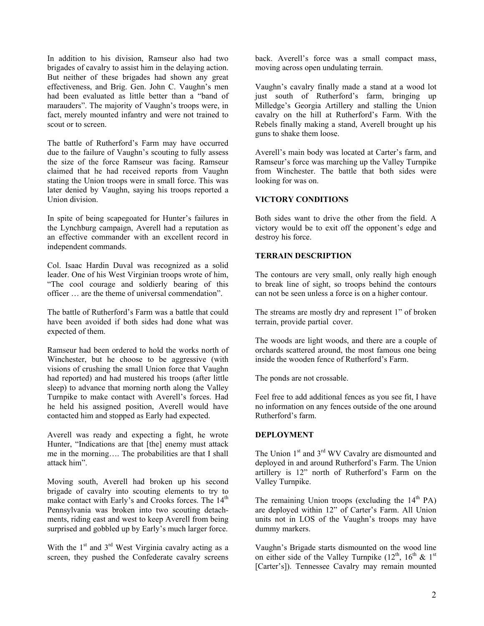In addition to his division, Ramseur also had two brigades of cavalry to assist him in the delaying action. But neither of these brigades had shown any great effectiveness, and Brig. Gen. John C. Vaughn's men had been evaluated as little better than a "band of marauders". The majority of Vaughn's troops were, in fact, merely mounted infantry and were not trained to scout or to screen.

The battle of Rutherford's Farm may have occurred due to the failure of Vaughn's scouting to fully assess the size of the force Ramseur was facing. Ramseur claimed that he had received reports from Vaughn stating the Union troops were in small force. This was later denied by Vaughn, saying his troops reported a Union division.

In spite of being scapegoated for Hunter's failures in the Lynchburg campaign, Averell had a reputation as an effective commander with an excellent record in independent commands.

Col. Isaac Hardin Duval was recognized as a solid leader. One of his West Virginian troops wrote of him, "The cool courage and soldierly bearing of this officer … are the theme of universal commendation".

The battle of Rutherford's Farm was a battle that could have been avoided if both sides had done what was expected of them.

Ramseur had been ordered to hold the works north of Winchester, but he choose to be aggressive (with visions of crushing the small Union force that Vaughn had reported) and had mustered his troops (after little sleep) to advance that morning north along the Valley Turnpike to make contact with Averell's forces. Had he held his assigned position, Averell would have contacted him and stopped as Early had expected.

Averell was ready and expecting a fight, he wrote Hunter, "Indications are that [the] enemy must attack me in the morning…. The probabilities are that I shall attack him".

Moving south, Averell had broken up his second brigade of cavalry into scouting elements to try to make contact with Early's and Crooks forces. The 14<sup>th</sup> Pennsylvania was broken into two scouting detachments, riding east and west to keep Averell from being surprised and gobbled up by Early's much larger force.

With the  $1<sup>st</sup>$  and  $3<sup>rd</sup>$  West Virginia cavalry acting as a screen, they pushed the Confederate cavalry screens back. Averell's force was a small compact mass, moving across open undulating terrain.

Vaughn's cavalry finally made a stand at a wood lot just south of Rutherford's farm, bringing up Milledge's Georgia Artillery and stalling the Union cavalry on the hill at Rutherford's Farm. With the Rebels finally making a stand, Averell brought up his guns to shake them loose.

Averell's main body was located at Carter's farm, and Ramseur's force was marching up the Valley Turnpike from Winchester. The battle that both sides were looking for was on.

## **VICTORY CONDITIONS**

Both sides want to drive the other from the field. A victory would be to exit off the opponent's edge and destroy his force.

#### **TERRAIN DESCRIPTION**

The contours are very small, only really high enough to break line of sight, so troops behind the contours can not be seen unless a force is on a higher contour.

The streams are mostly dry and represent 1" of broken terrain, provide partial cover.

The woods are light woods, and there are a couple of orchards scattered around, the most famous one being inside the wooden fence of Rutherford's Farm.

The ponds are not crossable.

Feel free to add additional fences as you see fit, I have no information on any fences outside of the one around Rutherford's farm.

## **DEPLOYMENT**

The Union 1<sup>st</sup> and 3<sup>rd</sup> WV Cavalry are dismounted and deployed in and around Rutherford's Farm. The Union artillery is 12" north of Rutherford's Farm on the Valley Turnpike.

The remaining Union troops (excluding the  $14<sup>th</sup> PA$ ) are deployed within 12" of Carter's Farm. All Union units not in LOS of the Vaughn's troops may have dummy markers.

Vaughn's Brigade starts dismounted on the wood line on either side of the Valley Turnpike  $(12^{th}, 16^{th}, \& 1^{st})$ [Carter's]). Tennessee Cavalry may remain mounted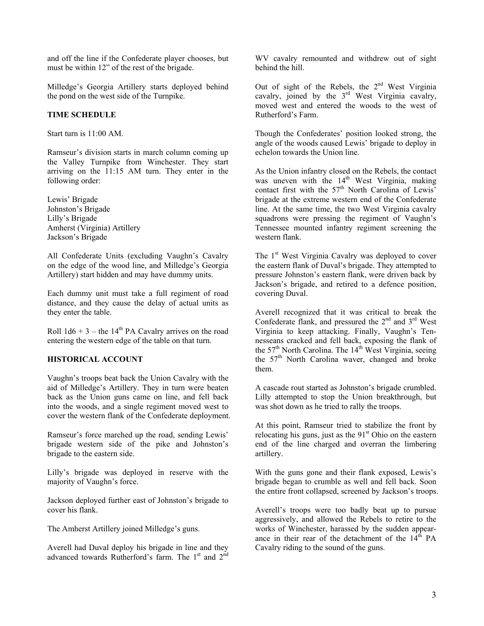and off the line if the Confederate player chooses, but must be within 12" of the rest of the brigade.

Milledge's Georgia Artillery starts deployed behind the pond on the west side of the Turnpike.

# **TIME SCHEDULE**

Start turn is 11:00 AM.

Ramseur's division starts in march column coming up the Valley Turnpike from Winchester. They start arriving on the 11:15 AM turn. They enter in the following order:

Lewis' Brigade Johnston's Brigade Lilly's Brigade Amherst (Virginia) Artillery Jackson's Brigade

All Confederate Units (excluding Vaughn's Cavalry on the edge of the wood line, and Milledge's Georgia Artillery) start hidden and may have dummy units.

Each dummy unit must take a full regiment of road distance, and they cause the delay of actual units as they enter the table.

Roll  $1d6 + 3$  – the  $14<sup>th</sup>$  PA Cavalry arrives on the road entering the western edge of the table on that turn.

# **HISTORICAL ACCOUNT**

Vaughn's troops beat back the Union Cavalry with the aid of Milledge's Artillery. They in turn were beaten back as the Union guns came on line, and fell back into the woods, and a single regiment moved west to cover the western flank of the Confederate deployment.

Ramseur's force marched up the road, sending Lewis' brigade western side of the pike and Johnston's brigade to the eastern side.

Lilly's brigade was deployed in reserve with the majority of Vaughn's force.

Jackson deployed further east of Johnston's brigade to cover his flank.

The Amherst Artillery joined Milledge's guns.

Averell had Duval deploy his brigade in line and they advanced towards Rutherford's farm. The 1<sup>st</sup> and 2<sup>nd</sup>

WV cavalry remounted and withdrew out of sight behind the hill.

Out of sight of the Rebels, the  $2<sup>nd</sup>$  West Virginia cavalry, joined by the  $3<sup>rd</sup>$  West Virginia cavalry, moved west and entered the woods to the west of Rutherford's Farm.

Though the Confederates' position looked strong, the angle of the woods caused Lewis' brigade to deploy in echelon towards the Union line.

As the Union infantry closed on the Rebels, the contact was uneven with the  $14<sup>th</sup>$  West Virginia, making contact first with the  $57<sup>th</sup>$  North Carolina of Lewis' brigade at the extreme western end of the Confederate line. At the same time, the two West Virginia cavalry squadrons were pressing the regiment of Vaughn's Tennessee mounted infantry regiment screening the western flank.

The 1<sup>st</sup> West Virginia Cavalry was deployed to cover the eastern flank of Duval's brigade. They attempted to pressure Johnston's eastern flank, were driven back by Jackson's brigade, and retired to a defence position, covering Duval.

Averell recognized that it was critical to break the Confederate flank, and pressured the  $2<sup>nd</sup>$  and  $3<sup>rd</sup>$  West Virginia to keep attacking. Finally, Vaughn's Tennesseans cracked and fell back, exposing the flank of the  $57<sup>th</sup>$  North Carolina. The  $14<sup>th</sup>$  West Virginia, seeing the 57<sup>th</sup> North Carolina waver, changed and broke them.

A cascade rout started as Johnston's brigade crumbled. Lilly attempted to stop the Union breakthrough, but was shot down as he tried to rally the troops.

At this point, Ramseur tried to stabilize the front by relocating his guns, just as the  $91<sup>st</sup>$  Ohio on the eastern end of the line charged and overran the limbering artillery.

With the guns gone and their flank exposed, Lewis's brigade began to crumble as well and fell back. Soon the entire front collapsed, screened by Jackson's troops.

Averell's troops were too badly beat up to pursue aggressively, and allowed the Rebels to retire to the works of Winchester, harassed by the sudden appearance in their rear of the detachment of the  $14<sup>th</sup>$  PA Cavalry riding to the sound of the guns.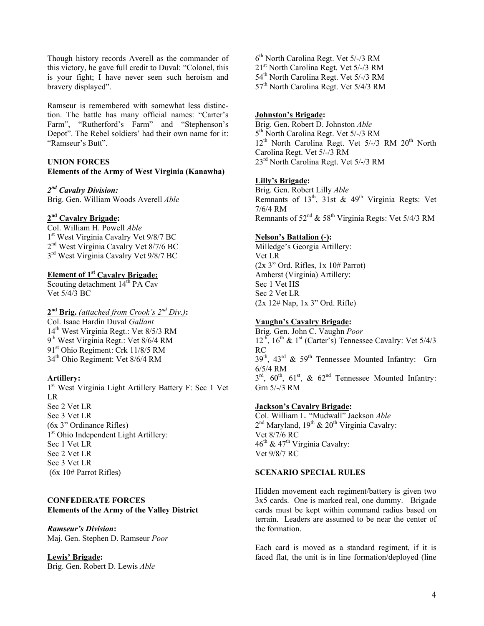Though history records Averell as the commander of this victory, he gave full credit to Duval: "Colonel, this is your fight; I have never seen such heroism and bravery displayed".

Ramseur is remembered with somewhat less distinction. The battle has many official names: "Carter's Farm", "Rutherford's Farm" and "Stephenson's Depot". The Rebel soldiers' had their own name for it: "Ramseur's Butt".

# **UNION FORCES**

# **Elements of the Army of West Virginia (Kanawha)**

## *2nd Cavalry Division:*

Brig. Gen. William Woods Averell *Able*

# **2nd Cavalry Brigade:**

Col. William H. Powell *Able* 1<sup>st</sup> West Virginia Cavalry Vet 9/8/7 BC 2<sup>nd</sup> West Virginia Cavalry Vet 8/7/6 BC  $3<sup>rd</sup>$  West Virginia Cavalry Vet 9/8/7 BC

# **Element of 1st Cavalry Brigade:**

Scouting detachment  $14<sup>th</sup> PA$  Cav Vet 5/4/3 BC

#### **2nd Brig.** *(attached from Crook's 2nd Div.)***:**  Col. Isaac Hardin Duval *Gallant*

14<sup>th</sup> West Virginia Regt.: Vet 8/5/3 RM 9th West Virginia Regt.: Vet 8/6/4 RM 91<sup>st</sup> Ohio Regiment: Crk 11/8/5 RM 34<sup>th</sup> Ohio Regiment: Vet 8/6/4 RM

# **Artillery:**

1<sup>st</sup> West Virginia Light Artillery Battery F: Sec 1 Vet LR Sec 2 Vet LR Sec 3 Vet LR (6x 3" Ordinance Rifles) 1<sup>st</sup> Ohio Independent Light Artillery: Sec 1 Vet LR Sec 2 Vet LR Sec 3 Vet LR (6x 10# Parrot Rifles)

# **CONFEDERATE FORCES Elements of the Army of the Valley District**

## *Ramseur's Division***:**

Maj. Gen. Stephen D. Ramseur *Poor*

## **Lewis' Brigade:**

Brig. Gen. Robert D. Lewis *Able*

6th North Carolina Regt. Vet 5/-/3 RM 21st North Carolina Regt. Vet 5/-/3 RM 54<sup>th</sup> North Carolina Regt. Vet 5/-/3 RM 57<sup>th</sup> North Carolina Regt. Vet 5/4/3 RM

## **Johnston's Brigade:**

Brig. Gen. Robert D. Johnston *Able* 5th North Carolina Regt. Vet 5/-/3 RM  $12<sup>th</sup>$  North Carolina Regt. Vet  $5/-/3$  RM  $20<sup>th</sup>$  North Carolina Regt. Vet 5/-/3 RM 23rd North Carolina Regt. Vet 5/-/3 RM

## **Lilly's Brigade:**

Brig. Gen. Robert Lilly *Able* Remnants of  $13<sup>th</sup>$ ,  $31st$  &  $49<sup>th</sup>$  Virginia Regts: Vet 7/6/4 RM Remnants of  $52<sup>nd</sup>$  &  $58<sup>th</sup>$  Virginia Regts: Vet  $5/4/3$  RM

#### **Nelson's Battalion (-):**

Milledge's Georgia Artillery: Vet LR  $(2x 3"$  Ord. Rifles,  $1x 10#$  Parrot) Amherst (Virginia) Artillery: Sec 1 Vet HS Sec 2 Vet LR (2x 12# Nap, 1x 3" Ord. Rifle)

## **Vaughn's Cavalry Brigade:**

Brig. Gen. John C. Vaughn *Poor*  $12^{th}$ ,  $16^{th}$  &  $1^{st}$  (Carter's) Tennessee Cavalry: Vet  $5/4/3$ RC  $39<sup>th</sup>$ ,  $43<sup>rd</sup>$  &  $59<sup>th</sup>$  Tennessee Mounted Infantry: Grn 6/5/4 RM  $3<sup>rd</sup>$ ,  $60<sup>th</sup>$ ,  $61<sup>st</sup>$ ,  $\& 62<sup>nd</sup>$  Tennessee Mounted Infantry: Grn 5/-/3 RM

#### **Jackson's Cavalry Brigade:**

Col. William L. "Mudwall" Jackson *Able*  $2<sup>nd</sup>$  Maryland,  $19<sup>th</sup>$  &  $20<sup>th</sup>$  Virginia Cavalry: Vet 8/7/6 RC 46<sup>th</sup> & 47<sup>th</sup> Virginia Cavalry: Vet 9/8/7 RC

#### **SCENARIO SPECIAL RULES**

Hidden movement each regiment/battery is given two 3x5 cards. One is marked real, one dummy. Brigade cards must be kept within command radius based on terrain. Leaders are assumed to be near the center of the formation.

Each card is moved as a standard regiment, if it is faced flat, the unit is in line formation/deployed (line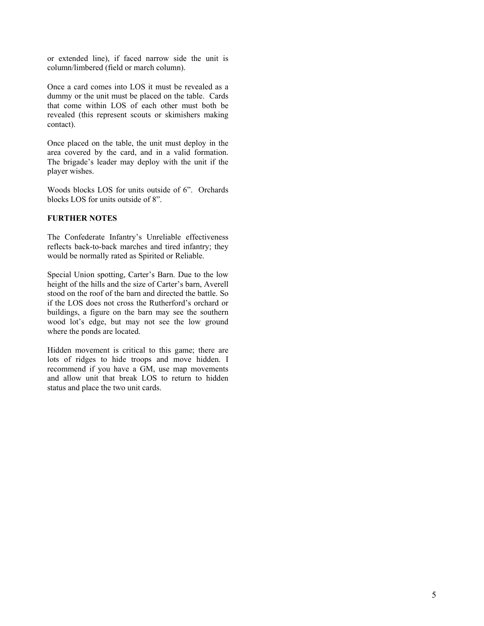or extended line), if faced narrow side the unit is column/limbered (field or march column).

Once a card comes into LOS it must be revealed as a dummy or the unit must be placed on the table. Cards that come within LOS of each other must both be revealed (this represent scouts or skimishers making contact).

Once placed on the table, the unit must deploy in the area covered by the card, and in a valid formation. The brigade's leader may deploy with the unit if the player wishes.

Woods blocks LOS for units outside of 6". Orchards blocks LOS for units outside of 8".

# **FURTHER NOTES**

The Confederate Infantry's Unreliable effectiveness reflects back-to-back marches and tired infantry; they would be normally rated as Spirited or Reliable.

Special Union spotting, Carter's Barn. Due to the low height of the hills and the size of Carter's barn, Averell stood on the roof of the barn and directed the battle. So if the LOS does not cross the Rutherford's orchard or buildings, a figure on the barn may see the southern wood lot's edge, but may not see the low ground where the ponds are located.

Hidden movement is critical to this game; there are lots of ridges to hide troops and move hidden. I recommend if you have a GM, use map movements and allow unit that break LOS to return to hidden status and place the two unit cards.